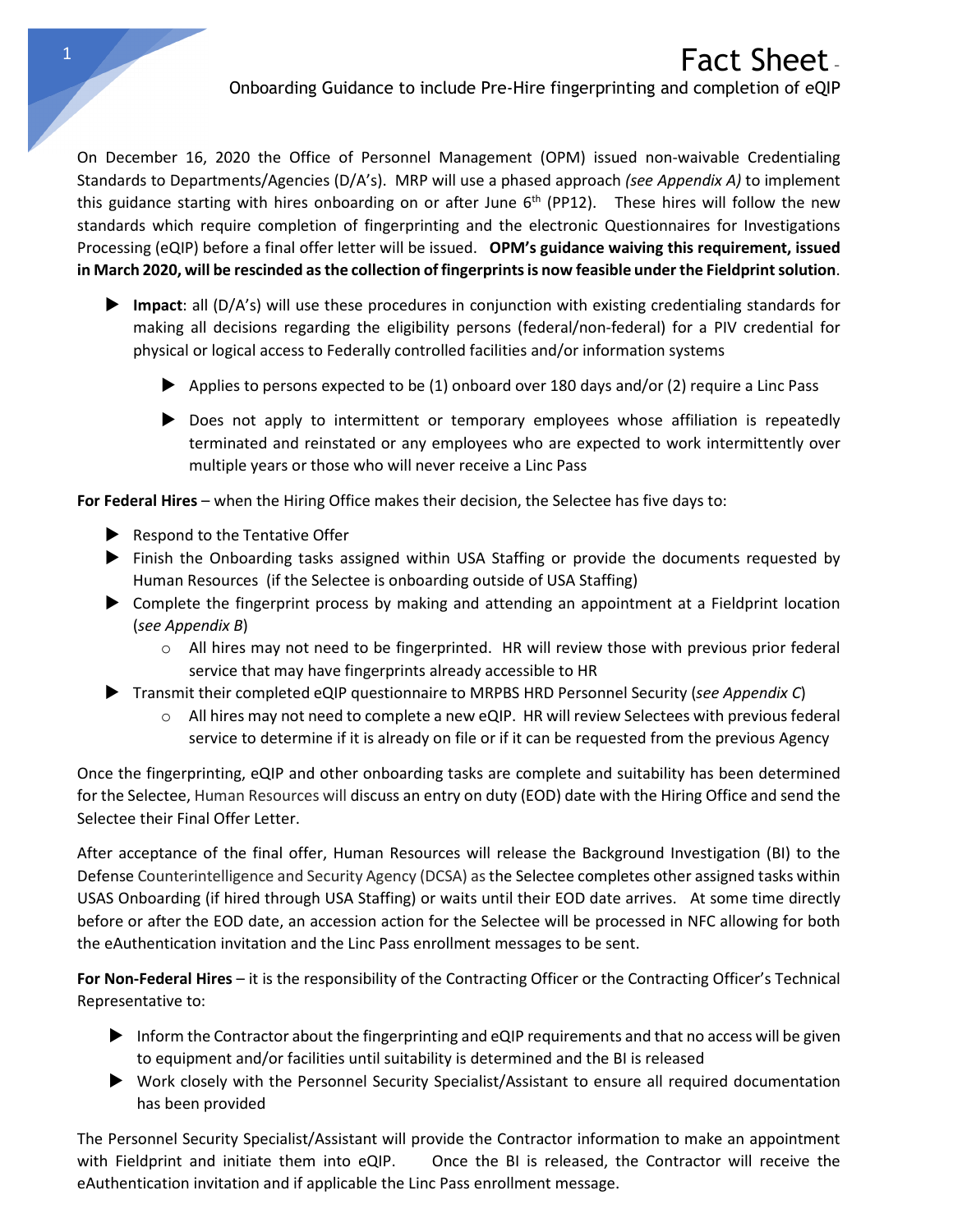On December 16, 2020 the Office of Personnel Management (OPM) issued non-waivable Credentialing Standards to Departments/Agencies (D/A's). MRP will use a phased approach *(see Appendix A)* to implement this guidance starting with hires onboarding on or after June  $6<sup>th</sup>$  (PP12). These hires will follow the new standards which require completion of fingerprinting and the electronic Questionnaires for Investigations Processing (eQIP) before a final offer letter will be issued. **OPM's guidance waiving this requirement, issued in March 2020, will be rescinded as the collection of fingerprints is now feasible under the Fieldprint solution**.

- **Impact**: all (D/A's) will use these procedures in conjunction with existing credentialing standards for making all decisions regarding the eligibility persons (federal/non-federal) for a PIV credential for physical or logical access to Federally controlled facilities and/or information systems
	- Applies to persons expected to be  $(1)$  onboard over 180 days and/or  $(2)$  require a Linc Pass
	- Does not apply to intermittent or temporary employees whose affiliation is repeatedly terminated and reinstated or any employees who are expected to work intermittently over multiple years or those who will never receive a Linc Pass

**For Federal Hires** – when the Hiring Office makes their decision, the Selectee has five days to:

- $\blacktriangleright$  Respond to the Tentative Offer
- Finish the Onboarding tasks assigned within USA Staffing or provide the documents requested by Human Resources (if the Selectee is onboarding outside of USA Staffing)
- Complete the fingerprint process by making and attending an appointment at a Fieldprint location (*see Appendix B*)
	- $\circ$  All hires may not need to be fingerprinted. HR will review those with previous prior federal service that may have fingerprints already accessible to HR
- Transmit their completed eQIP questionnaire to MRPBS HRD Personnel Security (*see Appendix C*)
	- $\circ$  All hires may not need to complete a new eQIP. HR will review Selectees with previous federal service to determine if it is already on file or if it can be requested from the previous Agency

Once the fingerprinting, eQIP and other onboarding tasks are complete and suitability has been determined for the Selectee, Human Resources will discuss an entry on duty (EOD) date with the Hiring Office and send the Selectee their Final Offer Letter.

After acceptance of the final offer, Human Resources will release the Background Investigation (BI) to the Defense Counterintelligence and Security Agency (DCSA) as the Selectee completes other assigned tasks within USAS Onboarding (if hired through USA Staffing) or waits until their EOD date arrives. At some time directly before or after the EOD date, an accession action for the Selectee will be processed in NFC allowing for both the eAuthentication invitation and the Linc Pass enrollment messages to be sent.

**For Non-Federal Hires** – it is the responsibility of the Contracting Officer or the Contracting Officer's Technical Representative to:

- Inform the Contractor about the fingerprinting and  $eQIP$  requirements and that no access will be given to equipment and/or facilities until suitability is determined and the BI is released
- Work closely with the Personnel Security Specialist/Assistant to ensure all required documentation has been provided

The Personnel Security Specialist/Assistant will provide the Contractor information to make an appointment with Fieldprint and initiate them into eQIP. Once the BI is released, the Contractor will receive the eAuthentication invitation and if applicable the Linc Pass enrollment message.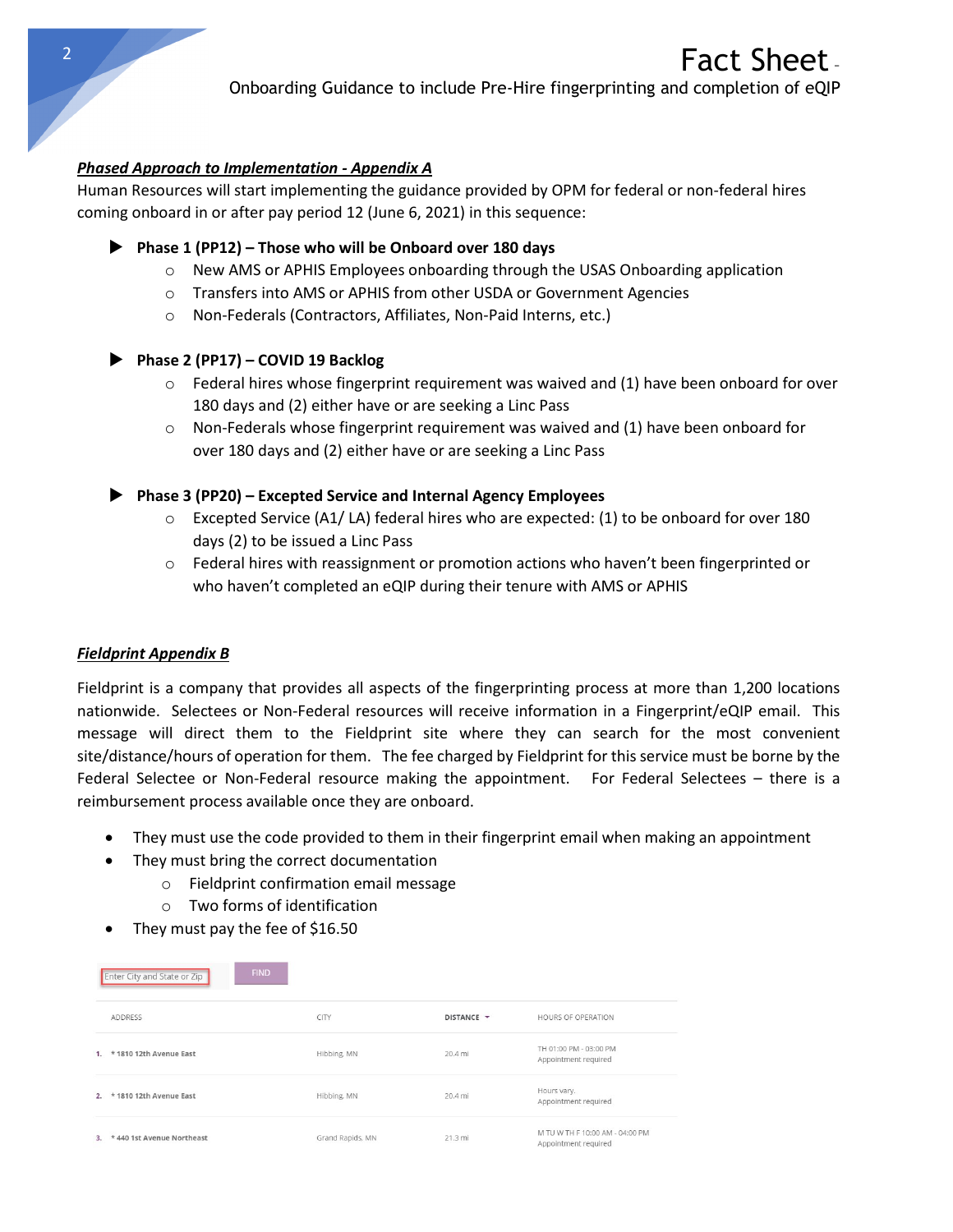Onboarding Guidance to include Pre-Hire fingerprinting and completion of eQIP

## *Phased Approach to Implementation - Appendix A*

Human Resources will start implementing the guidance provided by OPM for federal or non-federal hires coming onboard in or after pay period 12 (June 6, 2021) in this sequence:

## **Phase 1 (PP12) – Those who will be Onboard over 180 days**

- $\circ$  New AMS or APHIS Employees onboarding through the USAS Onboarding application
- o Transfers into AMS or APHIS from other USDA or Government Agencies
- o Non-Federals (Contractors, Affiliates, Non-Paid Interns, etc.)

# **Phase 2 (PP17) – COVID 19 Backlog**

- $\circ$  Federal hires whose fingerprint requirement was waived and (1) have been onboard for over 180 days and (2) either have or are seeking a Linc Pass
- $\circ$  Non-Federals whose fingerprint requirement was waived and (1) have been onboard for over 180 days and (2) either have or are seeking a Linc Pass
- **Phase 3 (PP20) – Excepted Service and Internal Agency Employees**
	- $\circ$  Excepted Service (A1/LA) federal hires who are expected: (1) to be onboard for over 180 days (2) to be issued a Linc Pass
	- o Federal hires with reassignment or promotion actions who haven't been fingerprinted or who haven't completed an eQIP during their tenure with AMS or APHIS

#### *Fieldprint Appendix B*

Fieldprint is a company that provides all aspects of the fingerprinting process at more than 1,200 locations nationwide. Selectees or Non-Federal resources will receive information in a Fingerprint/eQIP email. This message will direct them to the Fieldprint site where they can search for the most convenient site/distance/hours of operation for them. The fee charged by Fieldprint for this service must be borne by the Federal Selectee or Non-Federal resource making the appointment. For Federal Selectees – there is a reimbursement process available once they are onboard.

- They must use the code provided to them in their fingerprint email when making an appointment
- They must bring the correct documentation
	- o Fieldprint confirmation email message
	- o Two forms of identification
- They must pay the fee of \$16.50

| <b>FIND</b><br>Enter City and State or Zip |                  |            |                                                         |
|--------------------------------------------|------------------|------------|---------------------------------------------------------|
| <b>ADDRESS</b>                             | CITY             | DISTANCE Y | HOURS OF OPERATION                                      |
| * 1810 12th Avenue East<br>1.              | Hibbing, MN      | 20.4 mi    | TH 01:00 PM - 03:00 PM<br>Appointment required          |
| 2. * 1810 12th Avenue East                 | Hibbing, MN      | 20.4 mi    | Hours vary.<br>Appointment required                     |
| * 440 1st Avenue Northeast<br>3.           | Grand Rapids, MN | 21.3 mi    | M TU W TH F 10:00 AM - 04:00 PM<br>Appointment required |